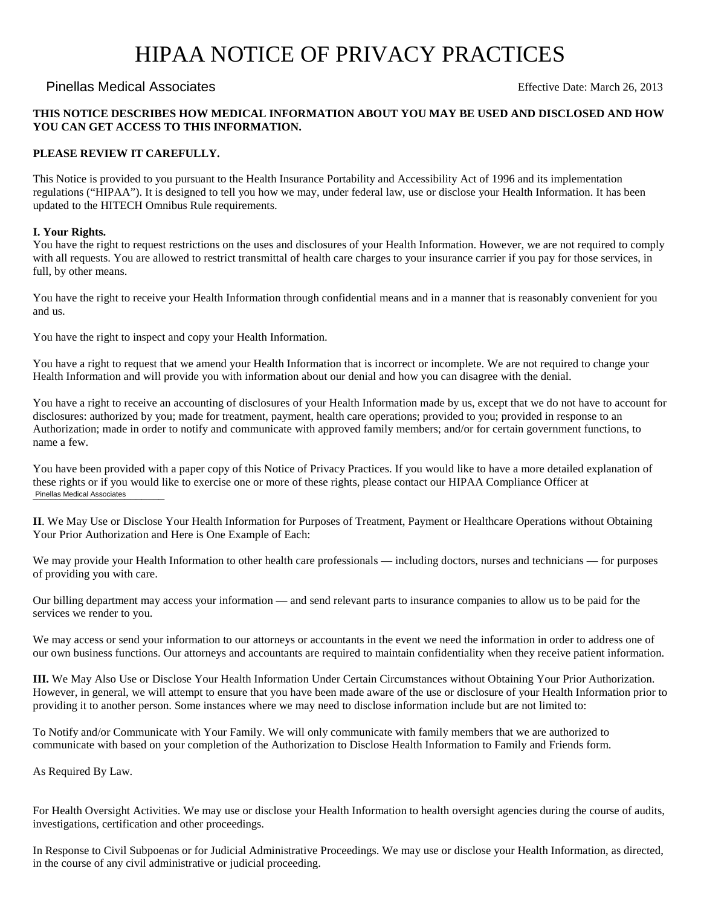# HIPAA NOTICE OF PRIVACY PRACTICES

# Effective Date: March 26, 2013 Pinellas Medical Associates

### **THIS NOTICE DESCRIBES HOW MEDICAL INFORMATION ABOUT YOU MAY BE USED AND DISCLOSED AND HOW YOU CAN GET ACCESS TO THIS INFORMATION.**

# **PLEASE REVIEW IT CAREFULLY.**

This Notice is provided to you pursuant to the Health Insurance Portability and Accessibility Act of 1996 and its implementation regulations ("HIPAA"). It is designed to tell you how we may, under federal law, use or disclose your Health Information. It has been updated to the HITECH Omnibus Rule requirements.

## **I. Your Rights.**

You have the right to request restrictions on the uses and disclosures of your Health Information. However, we are not required to comply with all requests. You are allowed to restrict transmittal of health care charges to your insurance carrier if you pay for those services, in full, by other means.

You have the right to receive your Health Information through confidential means and in a manner that is reasonably convenient for you and us.

You have the right to inspect and copy your Health Information.

You have a right to request that we amend your Health Information that is incorrect or incomplete. We are not required to change your Health Information and will provide you with information about our denial and how you can disagree with the denial.

You have a right to receive an accounting of disclosures of your Health Information made by us, except that we do not have to account for disclosures: authorized by you; made for treatment, payment, health care operations; provided to you; provided in response to an Authorization; made in order to notify and communicate with approved family members; and/or for certain government functions, to name a few.

You have been provided with a paper copy of this Notice of Privacy Practices. If you would like to have a more detailed explanation of these rights or if you would like to exercise one or more of these rights, please contact our HIPAA Compliance Officer at Pinellas Medical Associates

**II**. We May Use or Disclose Your Health Information for Purposes of Treatment, Payment or Healthcare Operations without Obtaining Your Prior Authorization and Here is One Example of Each:

We may provide your Health Information to other health care professionals — including doctors, nurses and technicians — for purposes of providing you with care.

Our billing department may access your information — and send relevant parts to insurance companies to allow us to be paid for the services we render to you.

We may access or send your information to our attorneys or accountants in the event we need the information in order to address one of our own business functions. Our attorneys and accountants are required to maintain confidentiality when they receive patient information.

**III.** We May Also Use or Disclose Your Health Information Under Certain Circumstances without Obtaining Your Prior Authorization. However, in general, we will attempt to ensure that you have been made aware of the use or disclosure of your Health Information prior to providing it to another person. Some instances where we may need to disclose information include but are not limited to:

To Notify and/or Communicate with Your Family. We will only communicate with family members that we are authorized to communicate with based on your completion of the Authorization to Disclose Health Information to Family and Friends form.

As Required By Law.

For Health Oversight Activities. We may use or disclose your Health Information to health oversight agencies during the course of audits, investigations, certification and other proceedings.

In Response to Civil Subpoenas or for Judicial Administrative Proceedings. We may use or disclose your Health Information, as directed, in the course of any civil administrative or judicial proceeding.